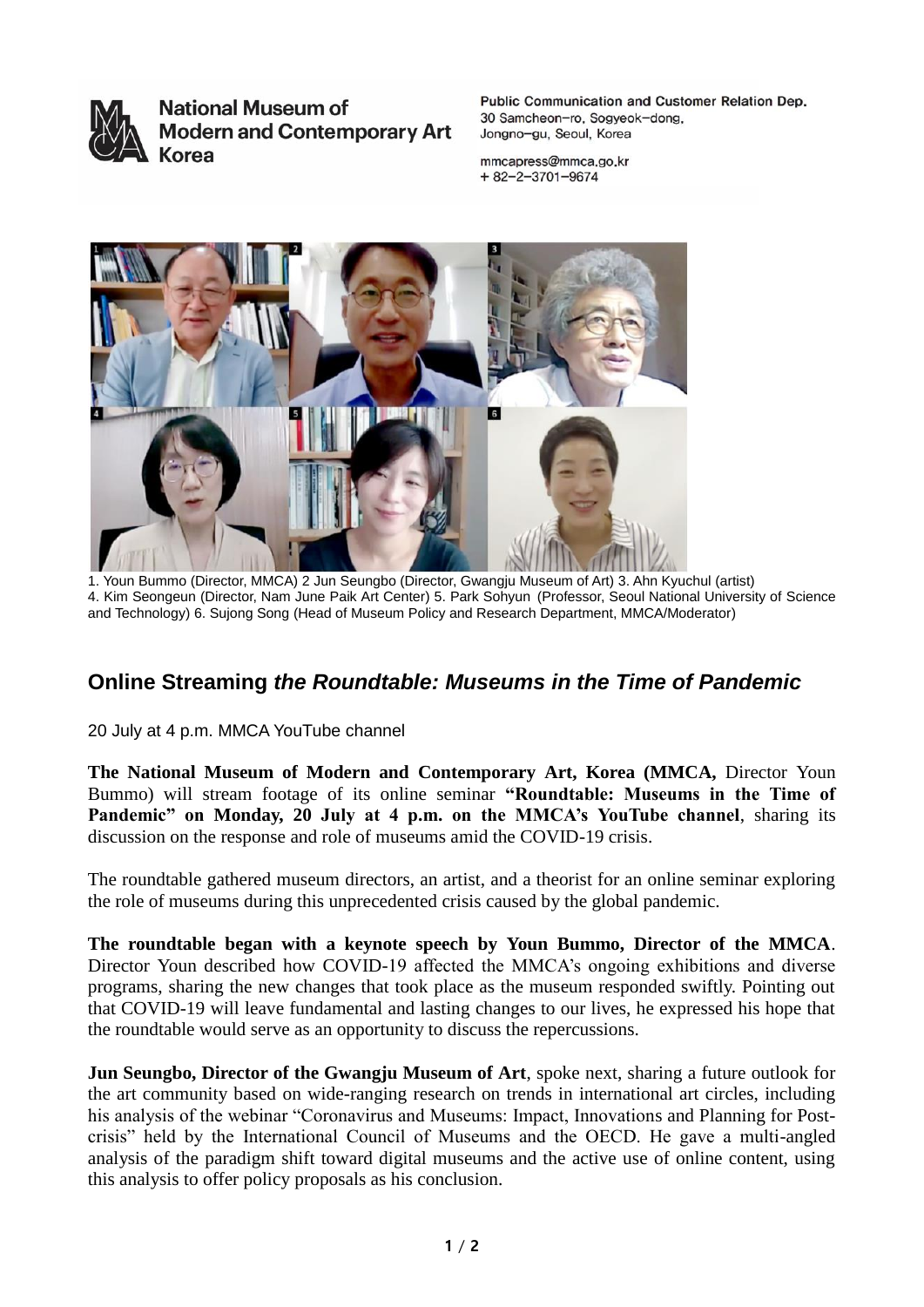

**National Museum of Modern and Contemporary Art Korea** 

Public Communication and Customer Relation Dep. 30 Samcheon-ro, Sogyeok-dong, Jongno-gu, Seoul, Korea

mmcapress@mmca.go.kr  $+82 - 2 - 3701 - 9674$ 



1. Youn Bummo (Director, MMCA) 2 Jun Seungbo (Director, Gwangju Museum of Art) 3. Ahn Kyuchul (artist) 4. Kim Seongeun (Director, Nam June Paik Art Center) 5. Park Sohyun (Professor, Seoul National University of Science and Technology) 6. Sujong Song (Head of Museum Policy and Research Department, MMCA/Moderator)

## **Online Streaming** *the Roundtable: Museums in the Time of Pandemic*

20 July at 4 p.m. MMCA YouTube channel

**The National Museum of Modern and Contemporary Art, Korea (MMCA,** Director Youn Bummo) will stream footage of its online seminar **"Roundtable: Museums in the Time of Pandemic" on Monday, 20 July at 4 p.m. on the MMCA's YouTube channel**, sharing its discussion on the response and role of museums amid the COVID-19 crisis.

The roundtable gathered museum directors, an artist, and a theorist for an online seminar exploring the role of museums during this unprecedented crisis caused by the global pandemic.

**The roundtable began with a keynote speech by Youn Bummo, Director of the MMCA**. Director Youn described how COVID-19 affected the MMCA's ongoing exhibitions and diverse programs, sharing the new changes that took place as the museum responded swiftly. Pointing out that COVID-19 will leave fundamental and lasting changes to our lives, he expressed his hope that the roundtable would serve as an opportunity to discuss the repercussions.

**Jun Seungbo, Director of the Gwangju Museum of Art**, spoke next, sharing a future outlook for the art community based on wide-ranging research on trends in international art circles, including his analysis of the webinar "Coronavirus and Museums: Impact, Innovations and Planning for Postcrisis" held by the International Council of Museums and the OECD. He gave a multi-angled analysis of the paradigm shift toward digital museums and the active use of online content, using this analysis to offer policy proposals as his conclusion.